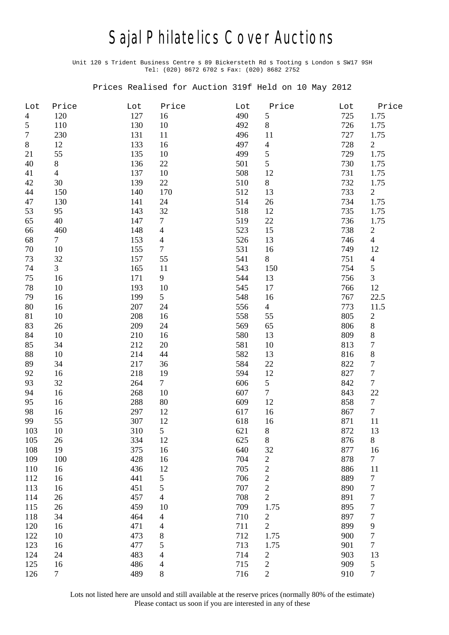## Sajal Philatelics Cover Auctions

Unit 120 s Trident Business Centre s 89 Bickersteth Rd s Tooting s London s SW17 9SH Tel: (020) 8672 6702 s Fax: (020) 8682 2752

Prices Realised for Auction 319f Held on 10 May 2012

| Lot            | Price          | Lot | Price                    | Lot | Price            | Lot | Price            |
|----------------|----------------|-----|--------------------------|-----|------------------|-----|------------------|
| $\overline{4}$ | 120            | 127 | 16                       | 490 | 5                | 725 | 1.75             |
| 5              | 110            | 130 | 10                       | 492 | $8\,$            | 726 | 1.75             |
| $\tau$         | 230            | 131 | 11                       | 496 | 11               | 727 | 1.75             |
| $\,8\,$        | 12             | 133 | 16                       | 497 | 4                | 728 | $\overline{2}$   |
| 21             | 55             | 135 | 10                       | 499 | 5                | 729 | 1.75             |
| 40             | 8              | 136 | 22                       | 501 | 5                | 730 | 1.75             |
| 41             | $\overline{4}$ | 137 | 10                       | 508 | 12               | 731 | 1.75             |
| 42             | 30             | 139 | 22                       | 510 | $8\,$            | 732 | 1.75             |
| 44             | 150            | 140 | 170                      | 512 | 13               | 733 | $\overline{2}$   |
| 47             | 130            | 141 | 24                       | 514 | 26               | 734 | 1.75             |
| 53             | 95             | 143 | 32                       | 518 | 12               | 735 | 1.75             |
| 65             | 40             | 147 | $\tau$                   | 519 | 22               | 736 | 1.75             |
| 66             | 460            | 148 | $\overline{4}$           | 523 | 15               | 738 | $\overline{c}$   |
| 68             | $\tau$         | 153 | $\overline{\mathcal{L}}$ | 526 | 13               | 746 | $\overline{4}$   |
| 70             | 10             | 155 | $\tau$                   | 531 | 16               | 749 | 12               |
| 73             | 32             | 157 | 55                       | 541 | 8                | 751 | $\overline{4}$   |
| 74             | $\overline{3}$ | 165 | 11                       | 543 | 150              | 754 | 5                |
| 75             | 16             | 171 | 9                        | 544 | 13               | 756 | 3                |
| 78             | 10             | 193 | 10                       | 545 | 17               | 766 | 12               |
| 79             | 16             | 199 | 5                        | 548 | 16               | 767 | 22.5             |
| 80             | 16             | 207 | 24                       | 556 | $\overline{4}$   | 773 | 11.5             |
| 81             | 10             | 208 | 16                       | 558 | 55               | 805 | $\boldsymbol{2}$ |
| 83             | 26             | 209 | 24                       | 569 | 65               | 806 | $\,$ $\,$        |
| 84             | 10             | 210 | 16                       | 580 | 13               | 809 | $\,8$            |
| 85             | 34             | 212 | 20                       | 581 | 10               | 813 | $\boldsymbol{7}$ |
| 88             | 10             | 214 | 44                       | 582 | 13               | 816 | $\,$ $\,$        |
| 89             | 34             | 217 | 36                       | 584 | 22               | 822 | $\boldsymbol{7}$ |
| 92             | 16             | 218 | 19                       | 594 | 12               | 827 | $\boldsymbol{7}$ |
| 93             | 32             | 264 | $\tau$                   | 606 | 5                | 842 | $\overline{7}$   |
| 94             | 16             | 268 | 10                       | 607 | $\tau$           | 843 | 22               |
| 95             | 16             | 288 | 80                       | 609 | 12               | 858 | $\overline{7}$   |
| 98             | 16             | 297 | 12                       | 617 | 16               | 867 | $\overline{7}$   |
| 99             | 55             | 307 | 12                       | 618 | 16               | 871 | 11               |
| 103            | 10             | 310 | 5                        | 621 | 8                | 872 | 13               |
| 105            | 26             | 334 | 12                       | 625 | 8                | 876 | 8                |
| 108            | 19             | 375 | 16                       | 640 | 32               | 877 | 16               |
| 109            | 100            | 428 | 16                       | 704 | 2                | 878 | $\tau$           |
| 110            | 16             | 436 | 12                       | 705 | $\overline{c}$   | 886 | 11               |
| 112            | 16             | 441 | 5                        | 706 | $\overline{c}$   | 889 | $\boldsymbol{7}$ |
| 113            | 16             | 451 | 5                        | 707 | $\overline{c}$   | 890 | $\boldsymbol{7}$ |
| 114            | 26             | 457 | $\overline{4}$           | 708 | $\overline{c}$   | 891 | $\boldsymbol{7}$ |
| 115            | 26             | 459 | 10                       | 709 | 1.75             | 895 | $\boldsymbol{7}$ |
| 118            | 34             | 464 | $\overline{\mathcal{L}}$ | 710 | $\boldsymbol{2}$ | 897 | $\boldsymbol{7}$ |
| 120            | 16             | 471 | $\overline{\mathcal{L}}$ | 711 | $\overline{c}$   | 899 | $\overline{9}$   |
| 122            | 10             | 473 | 8                        | 712 | 1.75             | 900 | $\boldsymbol{7}$ |
| 123            | 16             | 477 | 5                        | 713 | 1.75             | 901 | $\tau$           |
| 124            | 24             | 483 | 4                        | 714 | $\overline{c}$   | 903 | 13               |
| 125            | 16             | 486 | 4                        | 715 | $\overline{c}$   | 909 | $\mathfrak{S}$   |
| 126            | $\overline{7}$ | 489 | $8\,$                    | 716 | $\overline{c}$   | 910 | $\tau$           |

Lots not listed here are unsold and still available at the reserve prices (normally 80% of the estimate) Please contact us soon if you are interested in any of these